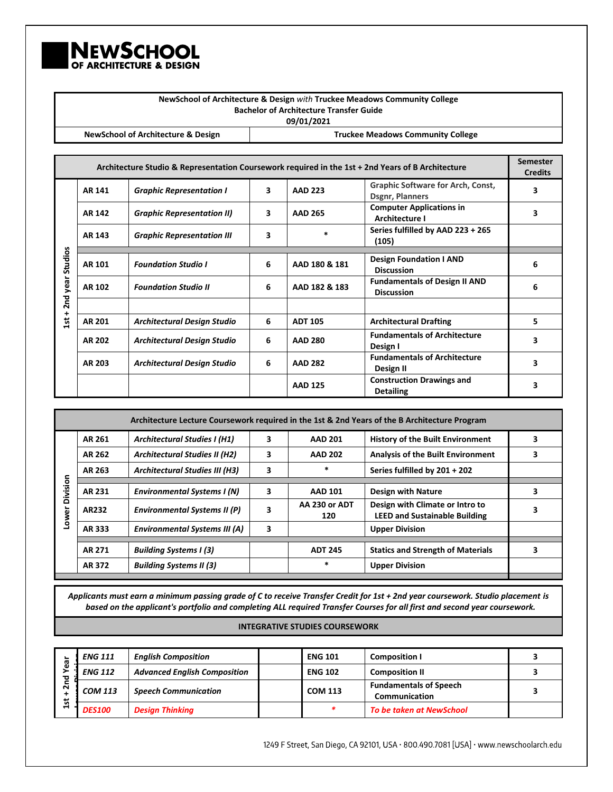

|           |                                                                                           |                                                                                                   |   |                                                | NewSchool of Architecture & Design with Truckee Meadows Community College |                                   |
|-----------|-------------------------------------------------------------------------------------------|---------------------------------------------------------------------------------------------------|---|------------------------------------------------|---------------------------------------------------------------------------|-----------------------------------|
|           |                                                                                           |                                                                                                   |   | <b>Bachelor of Architecture Transfer Guide</b> |                                                                           |                                   |
|           |                                                                                           |                                                                                                   |   | 09/01/2021                                     |                                                                           |                                   |
|           | <b>NewSchool of Architecture &amp; Design</b><br><b>Truckee Meadows Community College</b> |                                                                                                   |   |                                                |                                                                           |                                   |
|           |                                                                                           |                                                                                                   |   |                                                |                                                                           |                                   |
|           |                                                                                           | Architecture Studio & Representation Coursework required in the 1st + 2nd Years of B Architecture |   |                                                |                                                                           | <b>Semester</b><br><b>Credits</b> |
|           | AR 141                                                                                    | <b>Graphic Representation I</b>                                                                   | 3 | <b>AAD 223</b>                                 | <b>Graphic Software for Arch, Const,</b><br><b>Dsgnr, Planners</b>        | 3                                 |
|           | AR 142                                                                                    | <b>Graphic Representation II)</b>                                                                 | 3 | <b>AAD 265</b>                                 | <b>Computer Applications in</b><br>Architecture I                         | 3                                 |
|           | AR 143                                                                                    | <b>Graphic Representation III</b>                                                                 | 3 | $\ast$                                         | Series fulfilled by AAD 223 + 265<br>(105)                                |                                   |
|           |                                                                                           |                                                                                                   |   |                                                |                                                                           |                                   |
| Studios   | <b>AR 101</b>                                                                             | <b>Foundation Studio I</b>                                                                        | 6 | AAD 180 & 181                                  | <b>Design Foundation I AND</b><br><b>Discussion</b>                       | 6                                 |
| 2nd year  | AR 102                                                                                    | <b>Foundation Studio II</b>                                                                       | 6 | AAD 182 & 183                                  | <b>Fundamentals of Design II AND</b><br><b>Discussion</b>                 |                                   |
| $\ddot{}$ |                                                                                           |                                                                                                   |   |                                                |                                                                           |                                   |
| R<br>ᆸ    | <b>AR 201</b>                                                                             | <b>Architectural Design Studio</b>                                                                | 6 | <b>ADT 105</b>                                 | <b>Architectural Drafting</b>                                             | 5                                 |

**AR 202 Architectural Design Studio 6 AAD 280 Fundamental Property** 

**AR 203 Architectural Design Studio 6 AAD 282 Pundamental Property** 

| Architecture Lecture Coursework required in the 1st & 2nd Years of the B Architecture Program |        |                                       |   |                      |                                                                         |   |  |  |  |
|-----------------------------------------------------------------------------------------------|--------|---------------------------------------|---|----------------------|-------------------------------------------------------------------------|---|--|--|--|
|                                                                                               | AR 261 | <b>Architectural Studies I (H1)</b>   | 3 | <b>AAD 201</b>       | <b>History of the Built Environment</b>                                 | 3 |  |  |  |
|                                                                                               | AR 262 | <b>Architectural Studies II (H2)</b>  | 3 | <b>AAD 202</b>       | <b>Analysis of the Built Environment</b>                                | 3 |  |  |  |
|                                                                                               | AR 263 | <b>Architectural Studies III (H3)</b> | 3 | $\ast$               | Series fulfilled by 201 + 202                                           |   |  |  |  |
|                                                                                               |        |                                       |   |                      |                                                                         |   |  |  |  |
| Division                                                                                      | AR 231 | <b>Environmental Systems I (N)</b>    | 3 | <b>AAD 101</b>       | <b>Design with Nature</b>                                               | 3 |  |  |  |
| Lower                                                                                         | AR232  | <b>Environmental Systems II (P)</b>   | 3 | AA 230 or ADT<br>120 | Design with Climate or Intro to<br><b>LEED and Sustainable Building</b> | 3 |  |  |  |
|                                                                                               | AR 333 | <b>Environmental Systems III (A)</b>  | 3 |                      | <b>Upper Division</b>                                                   |   |  |  |  |
|                                                                                               |        |                                       |   |                      |                                                                         |   |  |  |  |
|                                                                                               | AR 271 | <b>Building Systems I (3)</b>         |   | <b>ADT 245</b>       | <b>Statics and Strength of Materials</b>                                | 3 |  |  |  |
|                                                                                               | AR 372 | <b>Building Systems II (3)</b>        |   | $\ast$               | <b>Upper Division</b>                                                   |   |  |  |  |
|                                                                                               |        |                                       |   |                      |                                                                         |   |  |  |  |

*Applicants must earn a minimum passing grade of C to receive Transfer Credit for 1st + 2nd year coursework. Studio placement is based on the applicant's portfolio and completing ALL required Transfer Courses for all first and second year coursework.*

## **INTEGRATIVE STUDIES COURSEWORK**

| œ      | <b>ENG 111</b> | <b>English Composition</b>          |  | <b>ENG 101</b> | <b>Composition I</b>                           |  |
|--------|----------------|-------------------------------------|--|----------------|------------------------------------------------|--|
| Φ<br>ъ | <b>ENG 112</b> | <b>Advanced English Composition</b> |  | <b>ENG 102</b> | <b>Composition II</b>                          |  |
| ิส     | <b>COM 113</b> | <b>Speech Communication</b>         |  | <b>COM 113</b> | <b>Fundamentals of Speech</b><br>Communication |  |
| 15t    | <b>DES100</b>  | <b>Design Thinking</b>              |  |                | <b>To be taken at NewSchool</b>                |  |

1249 F Street, San Diego, CA 92101, USA · 800.490.7081 [USA] · www.newschoolarch.edu

**Fundamentals of Architecture** 3

**Fundamentals of Architecture** 3

**Detailing 3** 

**AAD 125 Construction Drawings and**